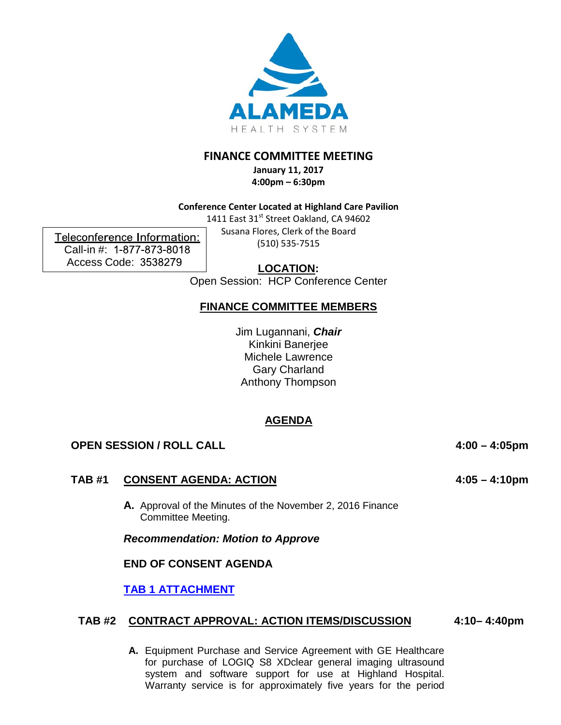

# **FINANCE COMMITTEE MEETING**

**January 11, 2017 4:00pm – 6:30pm** 

## **Conference Center Located at Highland Care Pavilion**

1411 East 31st Street Oakland, CA 94602 Susana Flores, Clerk of the Board (510) 535-7515

Teleconference Information: Call-in #: 1-877-873-8018 Access Code: 3538279

**LOCATION:**

Open Session: HCP Conference Center

# **FINANCE COMMITTEE MEMBERS**

Jim Lugannani, *Chair* Kinkini Banerjee Michele Lawrence Gary Charland Anthony Thompson

# **AGENDA**

## **OPEN SESSION / ROLL CALL 4:00 – 4:05pm**

## **TAB #1 CONSENT AGENDA: ACTION**

**A.** Approval of the Minutes of the November 2, 2016 Finance Committee Meeting.

*Recommendation: Motion to Approve*

## **END OF CONSENT AGENDA**

**[TAB 1 ATTACHMENT](http://www.alamedahealthsystem.org/sites/default/files/Tab%201A%20-%20Finance%20Minutes-%2011022016.pdf)**

#### **TAB #2 CONTRACT APPROVAL: ACTION ITEMS/DISCUSSION 4:10– 4:40pm**

**A.** Equipment Purchase and Service Agreement with GE Healthcare for purchase of LOGIQ S8 XDclear general imaging ultrasound system and software support for use at Highland Hospital. Warranty service is for approximately five years for the period

**4:05 – 4:10pm**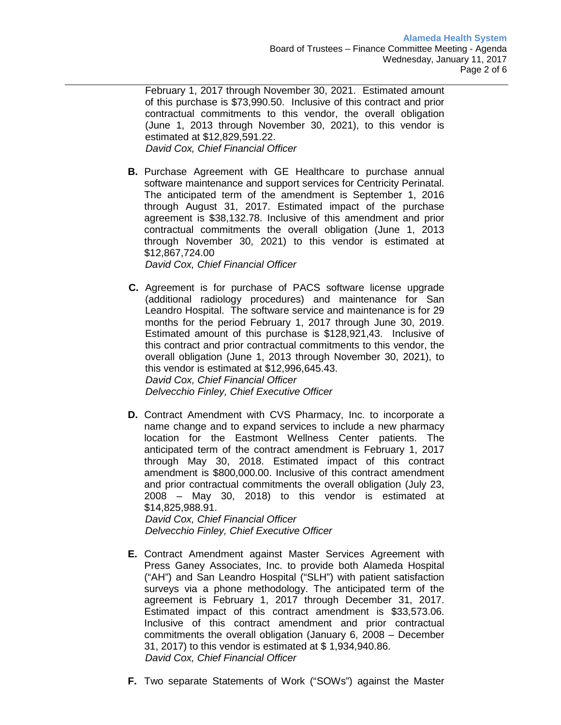February 1, 2017 through November 30, 2021. Estimated amount of this purchase is \$73,990.50. Inclusive of this contract and prior contractual commitments to this vendor, the overall obligation (June 1, 2013 through November 30, 2021), to this vendor is estimated at \$12,829,591.22.  *David Cox, Chief Financial Officer* 

**B.** Purchase Agreement with GE Healthcare to purchase annual software maintenance and support services for Centricity Perinatal. The anticipated term of the amendment is September 1, 2016 through August 31, 2017. Estimated impact of the purchase agreement is \$38,132.78. Inclusive of this amendment and prior contractual commitments the overall obligation (June 1, 2013 through November 30, 2021) to this vendor is estimated at \$12,867,724.00

*David Cox, Chief Financial Officer*

- **C.** Agreement is for purchase of PACS software license upgrade (additional radiology procedures) and maintenance for San Leandro Hospital. The software service and maintenance is for 29 months for the period February 1, 2017 through June 30, 2019. Estimated amount of this purchase is \$128,921,43. Inclusive of this contract and prior contractual commitments to this vendor, the overall obligation (June 1, 2013 through November 30, 2021), to this vendor is estimated at \$12,996,645.43.  *David Cox, Chief Financial Officer Delvecchio Finley, Chief Executive Officer*
- **D.** Contract Amendment with CVS Pharmacy, Inc. to incorporate a name change and to expand services to include a new pharmacy location for the Eastmont Wellness Center patients. The anticipated term of the contract amendment is February 1, 2017 through May 30, 2018. Estimated impact of this contract amendment is \$800,000.00. Inclusive of this contract amendment and prior contractual commitments the overall obligation (July 23, 2008 – May 30, 2018) to this vendor is estimated at \$14,825,988.91.

*David Cox, Chief Financial Officer Delvecchio Finley, Chief Executive Officer*

- **E.** Contract Amendment against Master Services Agreement with Press Ganey Associates, Inc. to provide both Alameda Hospital ("AH") and San Leandro Hospital ("SLH") with patient satisfaction surveys via a phone methodology. The anticipated term of the agreement is February 1, 2017 through December 31, 2017. Estimated impact of this contract amendment is \$33,573.06. Inclusive of this contract amendment and prior contractual commitments the overall obligation (January 6, 2008 – December 31, 2017) to this vendor is estimated at \$ 1,934,940.86. *David Cox, Chief Financial Officer*
- **F.** Two separate Statements of Work ("SOWs") against the Master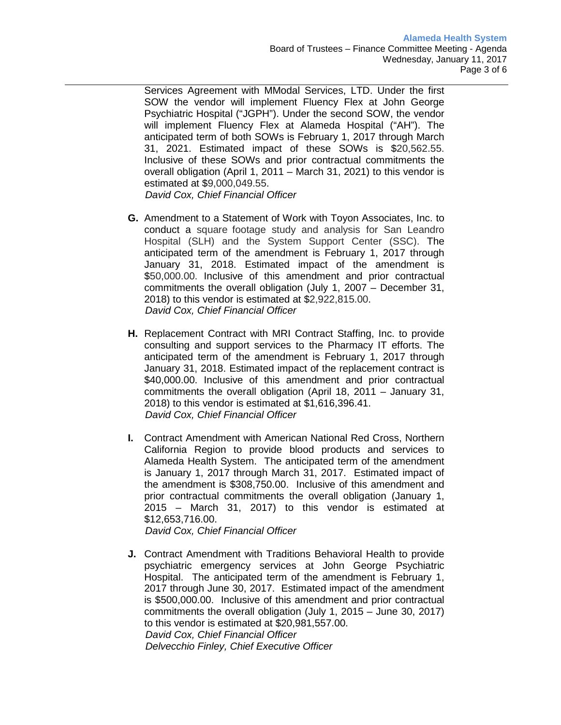Services Agreement with MModal Services, LTD. Under the first SOW the vendor will implement Fluency Flex at John George Psychiatric Hospital ("JGPH"). Under the second SOW, the vendor will implement Fluency Flex at Alameda Hospital ("AH"). The anticipated term of both SOWs is February 1, 2017 through March 31, 2021. Estimated impact of these SOWs is \$20,562.55. Inclusive of these SOWs and prior contractual commitments the overall obligation (April 1, 2011 – March 31, 2021) to this vendor is estimated at \$9,000,049.55.

*David Cox, Chief Financial Officer* 

- **G.** Amendment to a Statement of Work with Toyon Associates, Inc. to conduct a square footage study and analysis for San Leandro Hospital (SLH) and the System Support Center (SSC). The anticipated term of the amendment is February 1, 2017 through January 31, 2018. Estimated impact of the amendment is \$50,000.00. Inclusive of this amendment and prior contractual commitments the overall obligation (July 1, 2007 – December 31, 2018) to this vendor is estimated at \$2,922,815.00. *David Cox, Chief Financial Officer*
- **H.** Replacement Contract with MRI Contract Staffing, Inc. to provide consulting and support services to the Pharmacy IT efforts. The anticipated term of the amendment is February 1, 2017 through January 31, 2018. Estimated impact of the replacement contract is \$40,000.00. Inclusive of this amendment and prior contractual commitments the overall obligation (April 18, 2011 – January 31, 2018) to this vendor is estimated at \$1,616,396.41. *David Cox, Chief Financial Officer*
- **I.** Contract Amendment with American National Red Cross, Northern California Region to provide blood products and services to Alameda Health System. The anticipated term of the amendment is January 1, 2017 through March 31, 2017. Estimated impact of the amendment is \$308,750.00. Inclusive of this amendment and prior contractual commitments the overall obligation (January 1, 2015 – March 31, 2017) to this vendor is estimated at \$12,653,716.00.

*David Cox, Chief Financial Officer* 

**J.** Contract Amendment with Traditions Behavioral Health to provide psychiatric emergency services at John George Psychiatric Hospital. The anticipated term of the amendment is February 1, 2017 through June 30, 2017. Estimated impact of the amendment is \$500,000.00. Inclusive of this amendment and prior contractual commitments the overall obligation (July 1, 2015 – June 30, 2017) to this vendor is estimated at \$20,981,557.00.  *David Cox, Chief Financial Officer Delvecchio Finley, Chief Executive Officer*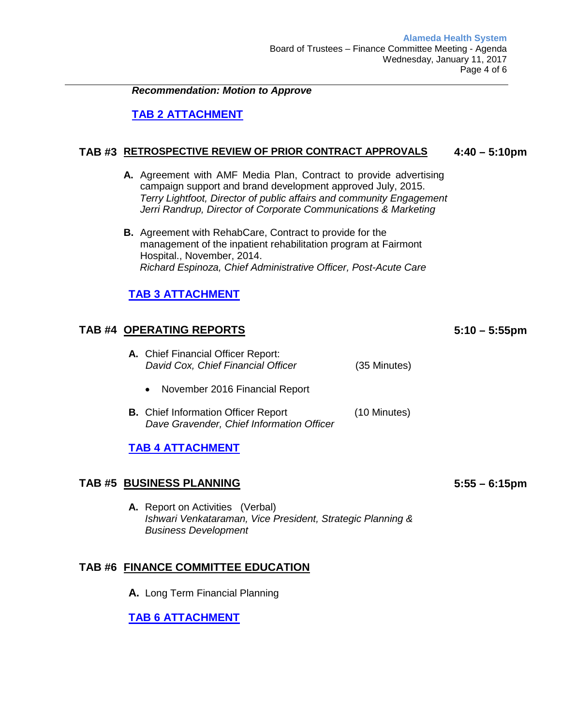*Recommendation: Motion to Approve*

# **TAB 2 [ATTACHMENT](http://www.alamedahealthsystem.org/sites/default/files/Tab%202%20-%20Attachment_0.pdf)**

#### **TAB #3 RETROSPECTIVE REVIEW OF PRIOR CONTRACT APPROVALS 4:40 – 5:10pm**

- **A.** Agreement with AMF Media Plan, Contract to provide advertising campaign support and brand development approved July, 2015. *Terry Lightfoot, Director of public affairs and community Engagement Jerri Randrup, Director of Corporate Communications & Marketing*
- **B.** Agreement with RehabCare, Contract to provide for the management of the inpatient rehabilitation program at Fairmont Hospital., November, 2014. *Richard Espinoza, Chief Administrative Officer, Post-Acute Care*

# **TAB 3 [ATTACHMENT](http://www.alamedahealthsystem.org/sites/default/files/Tab%203%20-%20Attachment.pdf)**

## **TAB #4 OPERATING REPORTS**

- **A.** Chief Financial Officer Report:  *David Cox, Chief Financial Officer* (35 Minutes)
	- November 2016 Financial Report
- **B.** Chief Information Officer Report (10 Minutes)  *Dave Gravender, Chief Information Officer*

## **TAB 4 [ATTACHMENT](http://www.alamedahealthsystem.org/sites/default/files/Tab%204%20-%20Attachment.pdf)**

## **TAB #5 BUSINESS PLANNING**

**A.** Report on Activities (Verbal) *Ishwari Venkataraman, Vice President, Strategic Planning & Business Development* 

## **TAB #6 FINANCE COMMITTEE EDUCATION**

**A.** Long Term Financial Planning

## **TAB 6 [ATTACHMENT](http://www.alamedahealthsystem.org/sites/default/files/Tab%206A%20-%20Educational%20Financial%20Planning.pdf)**

**5:55 – 6:15pm** 

**5:10 – 5:55pm**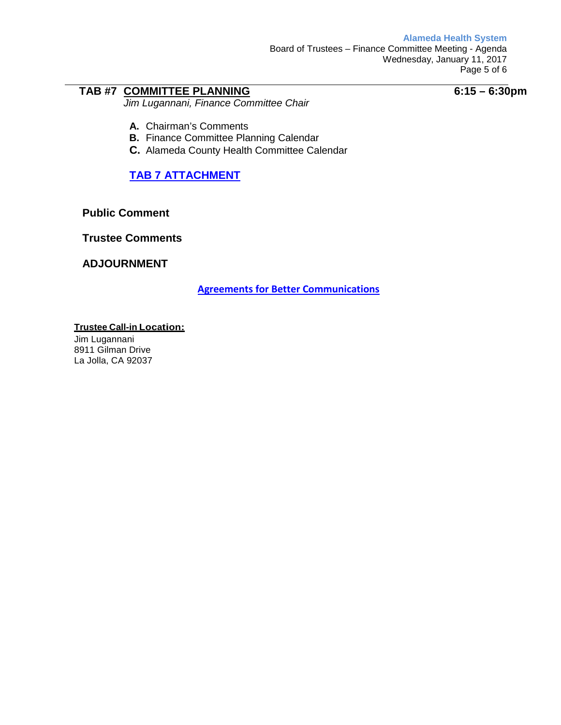**Alameda Health System**

Board of Trustees – Finance Committee Meeting - Agenda Wednesday, January 11, 2017 Page 5 of 6

# **TAB #7 COMMITTEE PLANNING**

*Jim Lugannani, Finance Committee Chair*

**6:15 – 6:30pm**

- **A.** Chairman's Comments
- **B.** Finance Committee Planning Calendar
- **C.** Alameda County Health Committee Calendar

# **TAB 7 [ATTACHMENT](http://www.alamedahealthsystem.org/sites/default/files/Tab%207%20-%20Attachment_0.pdf)**

**Public Comment**

**Trustee Comments**

## **ADJOURNMENT**

**[Agreements for Better Communications](http://www.alamedahealthsystem.org/sites/default/files/Agreements%20for%20Better%20Communications_7.pdf)**

## **Trustee Call-in Location:**

Jim Lugannani 8911 Gilman Drive La Jolla, CA 92037